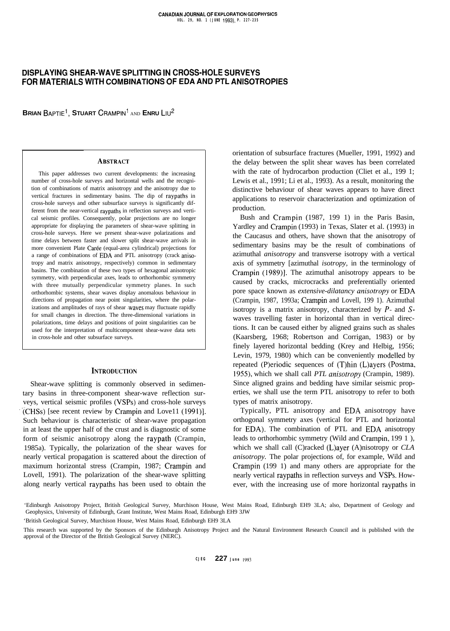# **DISPLAYING SHEAR-WAVE SPLITTING IN CROSS-HOLE SURVEYS FOR MATERIALS WITH COMBINATIONS OF EDA AND PTL ANISOTROPIES**

**BRIAN BAPTIE<sup>1</sup>, STUART** CRAMPIN<sup>1</sup> AND **ENRU** LIU<sup>2</sup>

## **ABSTRACT**

This paper addresses two current developments: the increasing number of cross-hole surveys and horizontal wells and the recognition of combinations of matrix anisotropy and the anisotropy due to vertical fractures in sedimentary basins. The dip of raypaths in cross-hole surveys and other subsurface surveys is significantly different from the near-vertical raypaths in reflection surveys and vertical seismic profiles. Consequently, polar projections are no longer appropriate for displaying the parameters of shear-wave splitting in cross-hole surveys. Here we present shear-wave polarizations and time delays between faster and slower split shear-wave arrivals in more convenient Plate Carée (equal-area cylindrical) projections for a range of combinations of EDA and PTL anisotropy (crack anisotropy and matrix anisotropy, respectively) common in sedimentary basins. The combination of these two types of hexagonal anisotropic symmetry, with perpendicular axes, leads to orthorhombic symmetry with three mutually perpendicular symmetry planes. In such orthorhombic systems, shear waves display anomalous behaviour in directions of propagation near point singularities, where the polarizations and amplitudes of rays of shear .waves may fluctuate rapidly for small changes in direction. The three-dimensional variations in polarizations, time delays and positions of point singularities can be used for the interpretation of multicomponent shear-wave data sets in cross-hole and other subsurface surveys.

# **INTRODUCTION**

Shear-wave splitting is commonly observed in sedimentary basins in three-component shear-wave reflection surveys, vertical seismic profiles (VSPs) and cross-hole surveys .'(CHSs) [see recent review by Crampin and Love11 (1991)]. Such behaviour is characteristic of shear-wave propagation in at least the upper half of the crust and is diagnostic of some form of seismic anisotropy along the raypath (Crampin, 1985a). Typically, the polarization of the shear waves for nearly vertical propagation is scattered about the direction of maximum horizontal stress (Crampin, 1987; Crampin and Lovell, 1991). The polarization of the shear-wave splitting along nearly vertical raypaths has been used to obtain the

orientation of subsurface fractures (Mueller, 1991, 1992) and the delay between the split shear waves has been correlated with the rate of hydrocarbon production (Cliet et al., 199 1; Lewis et al., 1991; Li et al., 1993). As a result, monitoring the distinctive behaviour of shear waves appears to have direct applications to reservoir characterization and optimization of production.

Bush and Crampin (1987, 199 1) in the Paris Basin, Yardley and Crampin (1993) in Texas, Slater et al. (1993) in the Caucasus and others, have shown that the anisotropy of sedimentary basins may be the result of combinations of azimuthal *anisotropy* and transverse isotropy with a vertical axis of symmetry [azimuthal *isotropy,* in the terminology of Crampin (1989)]. The azimuthal anisotropy appears to be caused by cracks, microcracks and preferentially oriented pore space known as *extensive-dilatancy anisotropy* or EDA (Crampin, 1987, 1993a; Crampin and Lovell, 199 1). Azimuthal isotropy is a matrix anisotropy, characterized by  $P$ - and  $S$ waves travelling faster in horizontal than in vertical directions. It can be caused either by aligned grains such as shales (Kaarsberg, 1968; Robertson and Corrigan, 1983) or by finely layered horizontal bedding (Krey and Helbig, 1956; Levin, 1979, 1980) which can be conveniently modelled by repeated (P)eriodic sequences of (T)hin (L)ayers (Postma, 1955), which we shall call *PTL anisotropy* (Crampin, 1989). Since aligned grains and bedding have similar seismic properties, we shall use the term PTL anisotropy to refer to both types of matrix anisotropy.

Typically, PTL anisotropy and EDA anisotropy have orthogonal symmetry axes (vertical for PTL and horizontal for EDA). The combination of PTL and EDA anisotropy leads to orthorhombic symmetry (Wild and Crampin, 199 1 ), which we shall call (C)racked (L)ayer (A)nisotropy or *CLA anisotropy.* The polar projections of, for example, Wild and Crampin (199 1) and many others are appropriate for the nearly vertical raypaths in reflection surveys and VSPs. However, with the increasing use of more horizontal raypaths in

**CJEG 227 June 1993**

<sup>&#</sup>x27;Edinburgh Anisotropy Project, British Geological Survey, Murchison House, West Mains Road, Edinburgh EH9 3LA; also, Department of Geology and Geophysics, University of Edinburgh, Grant Institute, West Mains Road, Edinburgh EH9 3JW

<sup>&#</sup>x27;British Geological Survey, Murchison House, West Mains Road, Edinburgh EH9 3LA

This research was supported by the Sponsors of the Edinburgh Anisotropy Project and the Natural Environment Research Council and is published with the approval of the Director of the British Geological Survey (NERC).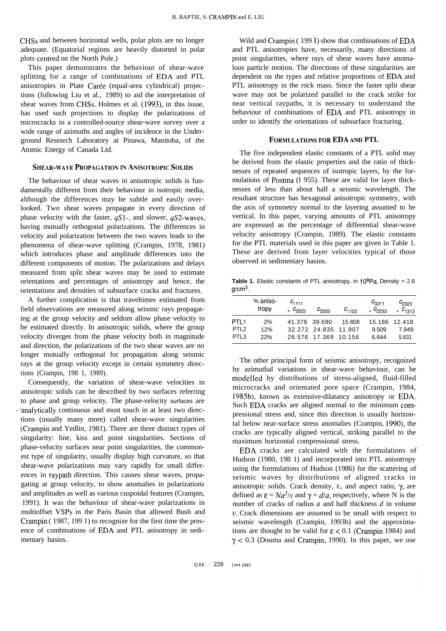CHSs and between horizontal wells, polar plots are no longer adequate. (Equatorial regions are heavily distorted in polar plots centred on the North Pole.)

This paper demonstrates the behaviour of shear-wave splitting for a range of combinations of EDA and PTL anisotropies in Plate Carée (equal-area cylindrical) projections (following Liu et al., 1989) to aid the interpretation of shear waves from CHSs. Holmes et al. (1993), in this issue, has used such projections to display the polarizations of microcracks in a controlled-source shear-wave survey over a wide range of azimuths and angles of incidence in the Underground Research Laboratory at Pinawa, Manitoba, of the Atomic Energy of Canada Ltd.

# **SHEAR-WAVE PROPAGATION IN ANISOTROPIC SOLIDS**

The behaviour of shear waves in anisotropic solids is fundamentally different from their behaviour in isotropic media, although the differences may be subtle and easily overlooked. Two shear waves propagate in every direction of phase velocity with the faster,  $qS1$ -, and slower,  $qS2$ -waves, having mutually orthogonal polarizations. The differences in velocity and polarization between the two waves leads to the phenomena of shear-wave splitting (Crampin, 1978, 1981) which introduces phase and amplitude differences into the different components of motion. The polarizations and delays measured from split shear waves may be used to estimate orientations and percentages of anisotropy and hence, the orientations and densities of subsurface cracks and fractures.

A further complication is that traveltimes estimated from field observations are measured along seismic rays propagating at the group velocity and seldom allow phase velocity to be estimated directly. In anisotropic solids, where the group velocity diverges from the phase velocity both in magnitude and direction, the polarizations of the two shear waves are no longer mutually orthogonal for propagation along seismic rays at the group velocity except in certain symmetry directions (Crampin, 198 1, 1989).

Consequently, the variation of shear-wave velocities in anisotropic solids can be described by two surfaces referring to phase and group velocity. The phase-velocity surfaces are analytically continuous and must touch in at least two directions (usually many more) called shear-wave singularities (Crampin and Yedlin, 1981). There are three distinct types of singularity: line, kiss and point singularities. Sections of phase-velocity surfaces near point singularities, the commonest type of singularity, usually display high curvature, so that shear-wave polarizations may vary rapidly for small differences in raypath direction. This causes shear waves, propagating at group velocity, to show anomalies in polarizations and amplitudes as well as various cuspoidal features (Crampin, 1991). It was the behaviour of shear-wave polarizations in multioffset VSPs in the Paris Basin that allowed Bush and Crampin ( 1987, 199 1) to recognize for the first time the presence of combinations of EDA and PTL anisotropy in sedimentary basins.

Wild and Crampin (1991) show that combinations of EDA and PTL anisotropies have, necessarily, many directions of point singularities, where rays of shear waves have anomalous particle motion. The directions of these singularities are dependent on the types and relative proportions of EDA and PTL anisotropy in the rock mass. Since the faster split shear wave may not be polarized parallel to the crack strike for near vertical raypaths, it is necessary to understand the behaviour of combinations of EDA and PTL anisotropy in order to identify the orientations of subsurface fracturing.

# **FORMULATIONS FOR EDA AND PTL**

The five independent elastic constants of a PTL solid may be derived from the elastic properties and the ratio of thicknesses of repeated sequences of isotropic layers, by the formulations of Postma (I 955). These are valid for layer thicknesses of less than about half a seismic wavelength. The resultant structure has hexagonal anisotropic symmetry, with the axis of symmetry normal to the layering assumed to be vertical. In this paper, varying amounts of PTL anisotropy are expressed as the percentage of differential shear-wave velocity anisotropy (Crampin, 1989). The elastic constants for the PTL materials used in this paper are given in Table 1. These are derived from layer velocities typical of those observed in sedimentary basins.

**Table 1.** Elastic constants of PTL anisotropy, in  $10^9$ Pa. Density = 2.6  $g/cm<sup>3</sup>$ .

|                  | % aniso-<br>tropy | $c_{1111}$<br>$C_{2222}$ | $c_{3333}$           | $c_{1122}$ | $c_{3311}$<br>$C_{2233}$ | $c_{2323}$<br>$C_{1313}$ |
|------------------|-------------------|--------------------------|----------------------|------------|--------------------------|--------------------------|
| PTI 1            | 2%                | 41.378 39.690            |                      | 15.808     |                          | 15.186 12.418            |
| PTL <sub>2</sub> | 12%               |                          | 32.272 24.835 11.907 |            | 9.509                    | 7.949                    |
| PTL3             | 22%               |                          | 28.576 17.369 10.156 |            | 6.644                    | 5.631                    |

The other principal form of seismic anisotropy, recognized by azimuthal variations in shear-wave behaviour, can be modelled by distributions of stress-aligned, fluid-filled microcracks and orientated pore space (Crampin, 1984, 1985b), known as extensive-dilatancy anisotropy or EDA. Such EDA cracks are aligned normal to the minimum compressional stress and, since this direction is usually horizontal below near-surface stress anomalies (Crampin, 1990), the cracks are typically aligned vertical, striking parallel to the maximum horizontal compressional stress.

EDA cracks are calculated with the formulations of Hudson (1980, 198 1) and incorporated into PTL anisotropy using the formulations of Hudson (1986) for the scattering of seismic waves by distributions of aligned cracks in anisotropic solids. Crack density, E, and aspect ratio,  $\gamma$ , are defined as  $\epsilon = Na^{3}/v$  and  $\gamma = d/a$ , respectively, where N is the number of cracks of radius *a* and half thickness *d* in volume  $\nu$ . Crack dimensions are assumed to be small with respect to seismic wavelength (Crampin, 1993b) and the approximations are thought to be valid for  $\epsilon < 0.1$  (Crampin 1984) and  $\gamma$  < 0.3 (Douma and Crampin, 1990). In this paper, we use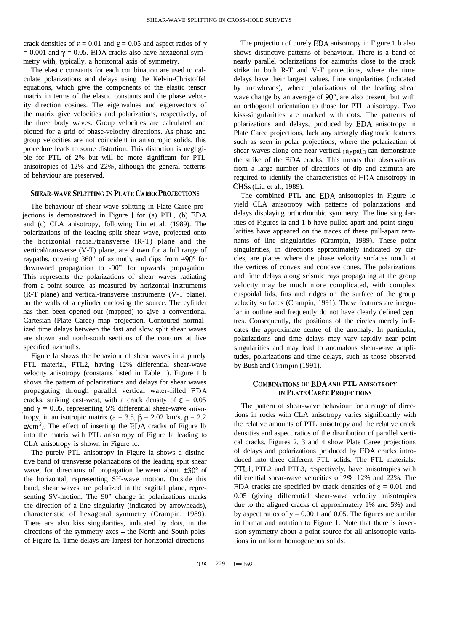crack densities of  $\varepsilon = 0.01$  and  $\varepsilon = 0.05$  and aspect ratios of  $\gamma$  $= 0.001$  and  $\gamma = 0.05$ . EDA cracks also have hexagonal symmetry with, typically, a horizontal axis of symmetry.

The elastic constants for each combination are used to calculate polarizations and delays using the Kelvin-Christoffel equations, which give the components of the elastic tensor matrix in terms of the elastic constants and the phase velocity direction cosines. The eigenvalues and eigenvectors of the matrix give velocities and polarizations, respectively, of the three body waves. Group velocities are calculated and plotted for a grid of phase-velocity directions. As phase and group velocities are not coincident in anisotropic solids, this procedure leads to some distortion. This distortion is negligible for PTL of 2% but will be more significant for PTL anisotropies of 12% and 22%, although the general patterns of behaviour are preserved.

#### **SHEAR-WAVE SPLITTING IN PLATE CARÉE PROJECTIONS**

The behaviour of shear-wave splitting in Plate Caree projections is demonstrated in Figure 1 for (a) PTL, (b) EDA and (c) CLA anisotropy, following Liu et al. (1989). The polarizations of the leading split shear wave, projected onto the horizontal radial/transverse (R-T) plane and the vertical/transverse (V-T) plane, are shown for a full range of raypaths, covering  $360$ " of azimuth, and dips from  $+90^\circ$  for downward propagation to -90" for upwards propagation. This represents the polarizations of shear waves radiating from a point source, as measured by horizontal instruments (R-T plane) and vertical-transverse instruments (V-T plane), on the walls of a cylinder enclosing the source. The cylinder has then been opened out (mapped) to give a conventional Cartesian (Plate Caree) map projection. Contoured normalized time delays between the fast and slow split shear waves are shown and north-south sections of the contours at five specified azimuths.

Figure la shows the behaviour of shear waves in a purely PTL material, PTL2, having 12% differential shear-wave velocity anisotropy (constants listed in Table 1). Figure 1 b shows the pattern of polarizations and delays for shear waves propagating through parallel vertical water-filled EDA cracks, striking east-west, with a crack density of  $\epsilon = 0.05$ and  $\gamma = 0.05$ , representing 5% differential shear-wave anisotropy, in an isotropic matrix (a = 3.5,  $\beta$  = 2.02 km/s,  $\rho$  = 2.2  $g/cm<sup>3</sup>$ ). The effect of inserting the EDA cracks of Figure 1b into the matrix with PTL anisotropy of Figure la leading to CLA anisotropy is shown in Figure lc.

The purely PTL anisotropy in Figure la shows a distinctive band of transverse polarizations of the leading split shear wave, for directions of propagation between about  $\pm 30^{\circ}$  of the horizontal, representing SH-wave motion. Outside this band, shear waves are polarized in the sagittal plane, representing SV-motion. The 90" change in polarizations marks the direction of a line singularity (indicated by arrowheads), characteristic of hexagonal symmetry (Crampin, 1989). There are also kiss singularities, indicated by dots, in the directions of the symmetry axes – the North and South poles of Figure la. Time delays are largest for horizontal directions.

The projection of purely EDA anisotropy in Figure 1 b also shows distinctive patterns of behaviour. There is a band of nearly parallel polarizations for azimuths close to the crack strike in both R-T and V-T projections, where the time delays have their largest values. Line singularities (indicated by arrowheads), where polarizations of the leading shear wave change by an average of 90°, are also present, but with an orthogonal orientation to those for PTL anisotropy. Two kiss-singularities are marked with dots. The patterns of polarizations and delays, produced by EDA anisotropy in Plate Caree projections, lack any strongly diagnostic features such as seen in polar projections, where the polarization of shear waves along one near-vertical raypath can demonstrate the strike of the EDA cracks. This means that observations from a large number of directions of dip and azimuth are required to identify the characteristics of EDA anisotropy in CHSs (Liu et al., 1989).

The combined PTL and EDA anisotropies in Figure lc yield CLA anisotropy with patterns of polarizations and delays displaying orthorhombic symmetry. The line singularities of Figures la and 1 b have pulled apart and point singularities have appeared on the traces of these pull-apart remnants of line singularities (Crampin, 1989). These point singularities, in directions approximately indicated by circles, are places where the phase velocity surfaces touch at the vertices of convex and concave cones. The polarizations and time delays along seismic rays propagating at the group velocity may be much more complicated, with complex cuspoidal lids, fins and ridges on the surface of the group velocity surfaces (Crampin, 1991). These features are irregular in outline and frequently do not have clearly defined centres. Consequently, the positions of the circles merely indicates the approximate centre of the anomaly. In particular, polarizations and time delays may vary rapidly near point singularities and may lead to anomalous shear-wave amplitudes, polarizations and time delays, such as those observed by Bush and Crampin (1991).

# **COMBINATIONS OF EDA AND PTL ANISOTROPY IN PLATE CARÉE PROJECTIONS**

The pattern of shear-wave behaviour for a range of directions in rocks with CLA anisotropy varies significantly with the relative amounts of PTL anisotropy and the relative crack densities and aspect ratios of the distribution of parallel vertical cracks. Figures 2, 3 and 4 show Plate Caree projections of delays and polarizations produced by EDA cracks introduced into three different PTL solids. The PTL materials: PTLl, PTL2 and PTL3, respectively, have anisotropies with differential shear-wave velocities of 2%, 12% and 22%. The EDA cracks are specified by crack densities of  $\varepsilon = 0.01$  and 0.05 (giving differential shear-wave velocity anisotropies due to the aligned cracks of approximately 1% and 5%) and by aspect ratios of  $y = 0.00$  1 and 0.05. The figures are similar in format and notation to Figure 1. Note that there is inversion symmetry about a point source for all anisotropic variations in uniform homogeneous solids.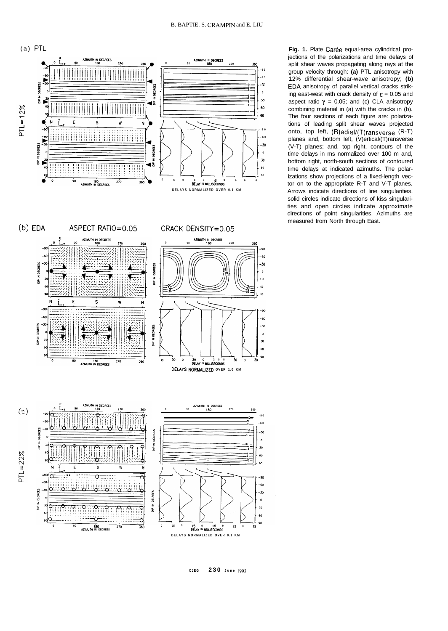

Fig. 1. Plate Carée equal-area cylindrical projections of the polarizations and time delays of split shear waves propagating along rays at the group velocity through: **(a)** PTL anisotropy with 12% differential shear-wave anisotropy; **(b)** EDA anisotropy of parallel vertical cracks striking east-west with crack density of  $\varepsilon = 0.05$  and aspect ratio  $\gamma = 0.05$ ; and (c) CLA anisotropy combining material in (a) with the cracks in (b). The four sections of each figure are: polarizations of leading split shear waves projected onto, top left, (R)adial/(T)ransverse (R-T) planes and, bottom left, (V)ertical/(T)ransverse (V-T) planes; and, top right, contours of the time delays in ms normalized over 100 m and, bottom right, north-south sections of contoured time delays at indicated azimuths. The polarizations show projections of a fixed-length vector on to the appropriate R-T and V-T planes. Arrows indicate directions of line singularities, solid circles indicate directions of kiss singularities and open circles indicate approximate directions of point singularities. Azimuths are measured from North through East.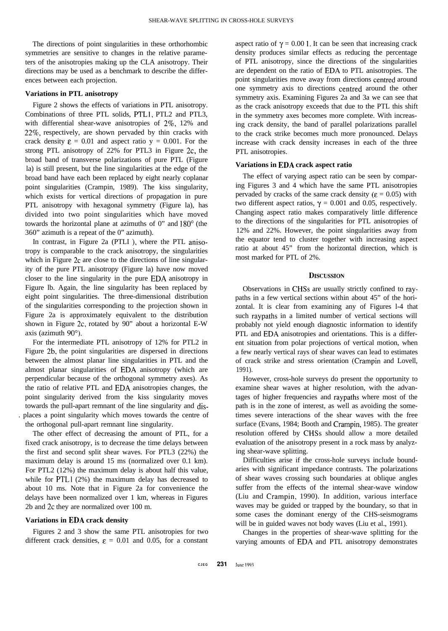The directions of point singularities in these orthorhombic symmetries are sensitive to changes in the relative parameters of the anisotropies making up the CLA anisotropy. Their directions may be used as a benchmark to describe the differences between each projection.

# **Variations in PTL anisotropy**

Figure 2 shows the effects of variations in PTL anisotropy. Combinations of three PTL solids, PTLl, PTL2 and PTL3, with differential shear-wave anisotropies of 2%, 12% and 22%, respectively, are shown pervaded by thin cracks with crack density  $\epsilon = 0.01$  and aspect ratio  $y = 0.001$ . For the strong PTL anisotropy of 22% for PTL3 in Figure 2c, the broad band of transverse polarizations of pure PTL (Figure la) is still present, but the line singularities at the edge of the broad band have each been replaced by eight nearly coplanar point singularities (Crampin, 1989). The kiss singularity, which exists for vertical directions of propagation in pure PTL anisotropy with hexagonal symmetry (Figure la), has divided into two point singularities which have moved towards the horizontal plane at azimuths of  $0$ " and  $180^\circ$  (the 360" azimuth is a repeat of the 0" azimuth).

In contrast, in Figure 2a (PTLI ), where the PTL anisotropy is comparable to the crack anisotropy, the singularities which in Figure 2c are close to the directions of line singularity of the pure PTL anisotropy (Figure la) have now moved closer to the line singularity in the pure EDA anisotropy in Figure lb. Again, the line singularity has been replaced by eight point singularities. The three-dimensional distribution of the singularities corresponding to the projection shown in Figure 2a is approximately equivalent to the distribution shown in Figure 2c, rotated by 90" about a horizontal E-W axis (azimuth 90').

For the intermediate PTL anisotropy of 12% for PTL2 in Figure 2b, the point singularities are dispersed in directions between the almost planar line singularities in PTL and the almost planar singularities of EDA anisotropy (which are perpendicular because of the orthogonal symmetry axes). As the ratio of relative PTL and EDA anisotropies changes, the point singularity derived from the kiss singularity moves towards the pull-apart remnant of the line singularity and dis- . places a point singularity which moves towards the centre of the orthogonal pull-apart remnant line singularity.

The other effect of decreasing the amount of PTL, for a fixed crack anisotropy, is to decrease the time delays between the first and second split shear waves. For PTL3 (22%) the maximum delay is around 15 ms (normalized over 0.1 km). For PTL2 (12%) the maximum delay is about half this value, while for PTLl (2%) the maximum delay has decreased to about 10 ms. Note that in Figure 2a for convenience the delays have been normalized over 1 km, whereas in Figures 2b and 2c they are normalized over 100 m.

# **Variations in EDA crack density**

Figures 2 and 3 show the same PTL anisotropies for two different crack densities,  $\varepsilon = 0.01$  and 0.05, for a constant

aspect ratio of  $\gamma = 0.00$  l. It can be seen that increasing crack density produces similar effects as reducing the percentage of PTL anisotropy, since the directions of the singularities are dependent on the ratio of EDA to PTL anisotropies. The point singularities move away from directions centred around one symmetry axis to directions centred around the other symmetry axis. Examining Figures 2a and 3a we can see that as the crack anisotropy exceeds that due to the PTL this shift in the symmetry axes becomes more complete. With increasing crack density, the band of parallel polarizations parallel to the crack strike becomes much more pronounced. Delays increase with crack density increases in each of the three PTL anisotropies.

#### **Variations in EDA crack aspect ratio**

The effect of varying aspect ratio can be seen by comparing Figures 3 and 4 which have the same PTL anisotropies pervaded by cracks of the same crack density ( $\varepsilon = 0.05$ ) with two different aspect ratios,  $\gamma = 0.001$  and 0.05, respectively. Changing aspect ratio makes comparatively little difference to the directions of the singularities for PTL anisotropies of 12% and 22%. However, the point singularities away from the equator tend to cluster together with increasing aspect ratio at about 45" from the horizontal direction, which is most marked for PTL of 2%.

# **DISCUSSION**

Observations in CHSs are usually strictly confined to raypaths in a few vertical sections within about 45" of the horizontal. It is clear from examining any of Figures l-4 that such raypaths in a limited number of vertical sections will probably not yield enough diagnostic information to identify PTL and EDA anisotropies and orientations. This is a different situation from polar projections of vertical motion, when a few nearly vertical rays of shear waves can lead to estimates of crack strike and stress orientation (Crampin and Lovell, 1991).

However, cross-hole surveys do present the opportunity to examine shear waves at higher resolution, with the advantages of higher frequencies and raypaths where most of the path is in the zone of interest, as well as avoiding the sometimes severe interactions of the shear waves with the free surface (Evans, 1984; Booth and Crampin, 1985). The greater resolution offered by CHSs should allow a more detailed evaluation of the anisotropy present in a rock mass by analyzing shear-wave splitting.

Difficulties arise if the cross-hole surveys include boundaries with significant impedance contrasts. The polarizations of shear waves crossing such boundaries at oblique angles suffer from the effects of the internal shear-wave window (Liu and Crampin, 1990). In addition, various interface waves may be guided or trapped by the boundary, so that in some cases the dominant energy of the CHS-seismograms will be in guided waves not body waves (Liu et al., 1991).

Changes in the properties of shear-wave splitting for the varying amounts of EDA and PTL anisotropy demonstrates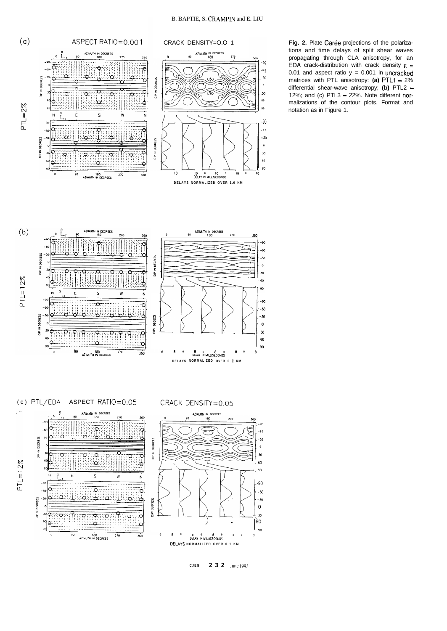

Fig. 2. Plate Carée projections of the polarizations and time delays of split shear waves propagating through CLA anisotropy, for an  $EDA$  crack-distribution with crack density  $\varepsilon =$  $0.01$  and aspect ratio  $y = 0.001$  in uncracked matrices with PTL anisotropy: (a) PTL1 - 2% differential shear-wave anisotropy; (b) PTL2  $-$ 12%; and (c)  $PTL3 = 22%$ . Note different normalizations of the contour plots. Format and notation as in Figure 1.

CJEG 2 3 2 June 1993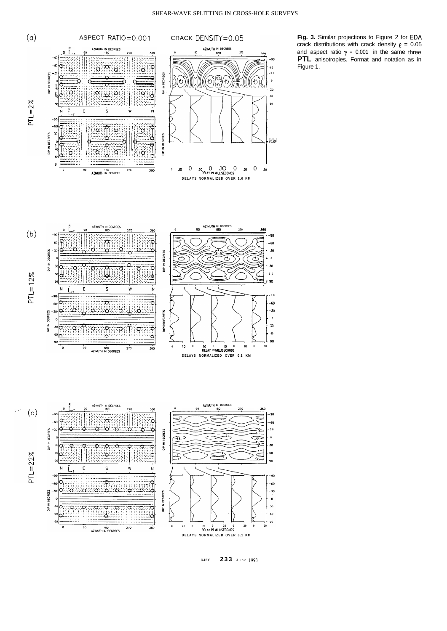



**CJEG** 233 June 1993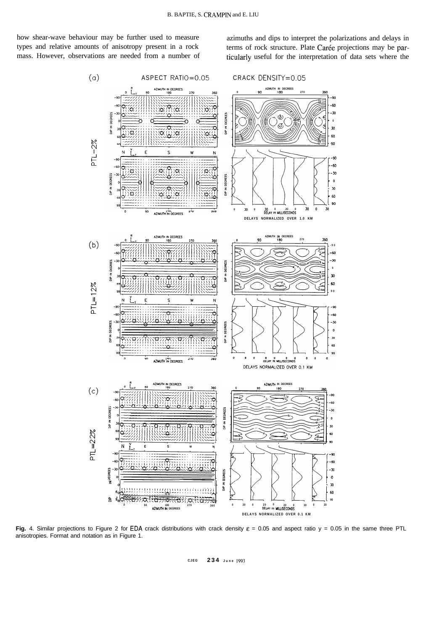how shear-wave behaviour may be further used to measure types and relative amounts of anisotropy present in a rock mass. However, observations are needed from a number of azimuths and dips to interpret the polarizations and delays in terms of rock structure. Plate Carée projections may be particularly useful for the interpretation of data sets where the



Fig. 4. Similar projections to Figure 2 for EDA crack distributions with crack density  $\varepsilon = 0.05$  and aspect ratio  $y = 0.05$  in the same three PTL anisotropies. Format and notation as in Figure 1.

234 June 1993 CJEG